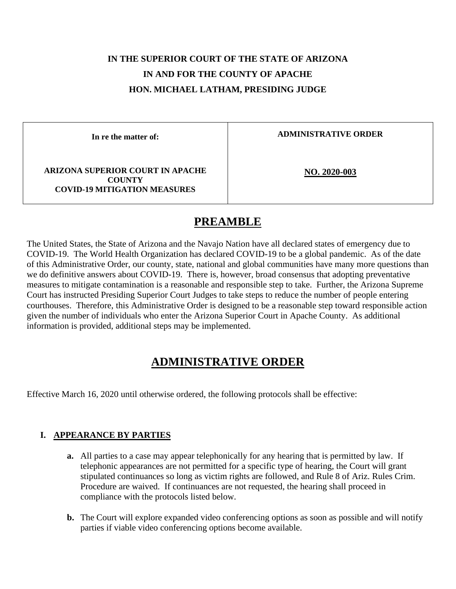# **IN THE SUPERIOR COURT OF THE STATE OF ARIZONA IN AND FOR THE COUNTY OF APACHE HON. MICHAEL LATHAM, PRESIDING JUDGE**

**In re the matter of:**

**ADMINISTRATIVE ORDER**

**ARIZONA SUPERIOR COURT IN APACHE COUNTY COVID-19 MITIGATION MEASURES**

**NO. 2020-003**

## **PREAMBLE**

The United States, the State of Arizona and the Navajo Nation have all declared states of emergency due to COVID-19. The World Health Organization has declared COVID-19 to be a global pandemic. As of the date of this Administrative Order, our county, state, national and global communities have many more questions than we do definitive answers about COVID-19. There is, however, broad consensus that adopting preventative measures to mitigate contamination is a reasonable and responsible step to take. Further, the Arizona Supreme Court has instructed Presiding Superior Court Judges to take steps to reduce the number of people entering courthouses. Therefore, this Administrative Order is designed to be a reasonable step toward responsible action given the number of individuals who enter the Arizona Superior Court in Apache County. As additional information is provided, additional steps may be implemented.

## **ADMINISTRATIVE ORDER**

Effective March 16, 2020 until otherwise ordered, the following protocols shall be effective:

### **I. APPEARANCE BY PARTIES**

- **a.** All parties to a case may appear telephonically for any hearing that is permitted by law. If telephonic appearances are not permitted for a specific type of hearing, the Court will grant stipulated continuances so long as victim rights are followed, and Rule 8 of Ariz. Rules Crim. Procedure are waived. If continuances are not requested, the hearing shall proceed in compliance with the protocols listed below.
- **b.** The Court will explore expanded video conferencing options as soon as possible and will notify parties if viable video conferencing options become available.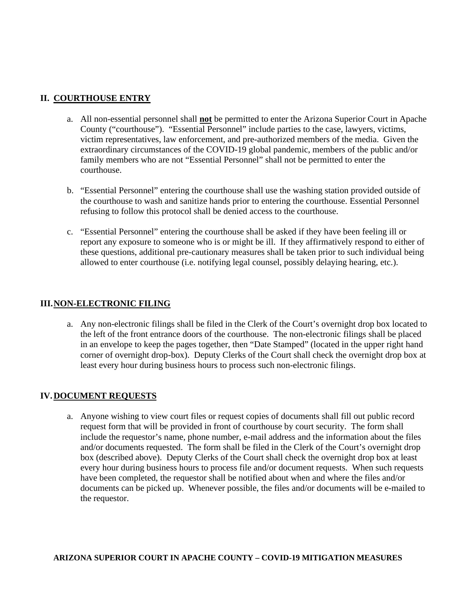#### **II. COURTHOUSE ENTRY**

- a. All non-essential personnel shall **not** be permitted to enter the Arizona Superior Court in Apache County ("courthouse"). "Essential Personnel" include parties to the case, lawyers, victims, victim representatives, law enforcement, and pre-authorized members of the media. Given the extraordinary circumstances of the COVID-19 global pandemic, members of the public and/or family members who are not "Essential Personnel" shall not be permitted to enter the courthouse.
- b. "Essential Personnel" entering the courthouse shall use the washing station provided outside of the courthouse to wash and sanitize hands prior to entering the courthouse. Essential Personnel refusing to follow this protocol shall be denied access to the courthouse.
- c. "Essential Personnel" entering the courthouse shall be asked if they have been feeling ill or report any exposure to someone who is or might be ill. If they affirmatively respond to either of these questions, additional pre-cautionary measures shall be taken prior to such individual being allowed to enter courthouse (i.e. notifying legal counsel, possibly delaying hearing, etc.).

#### **III.NON-ELECTRONIC FILING**

a. Any non-electronic filings shall be filed in the Clerk of the Court's overnight drop box located to the left of the front entrance doors of the courthouse. The non-electronic filings shall be placed in an envelope to keep the pages together, then "Date Stamped" (located in the upper right hand corner of overnight drop-box). Deputy Clerks of the Court shall check the overnight drop box at least every hour during business hours to process such non-electronic filings.

#### **IV.DOCUMENT REQUESTS**

a. Anyone wishing to view court files or request copies of documents shall fill out public record request form that will be provided in front of courthouse by court security. The form shall include the requestor's name, phone number, e-mail address and the information about the files and/or documents requested. The form shall be filed in the Clerk of the Court's overnight drop box (described above). Deputy Clerks of the Court shall check the overnight drop box at least every hour during business hours to process file and/or document requests. When such requests have been completed, the requestor shall be notified about when and where the files and/or documents can be picked up. Whenever possible, the files and/or documents will be e-mailed to the requestor.